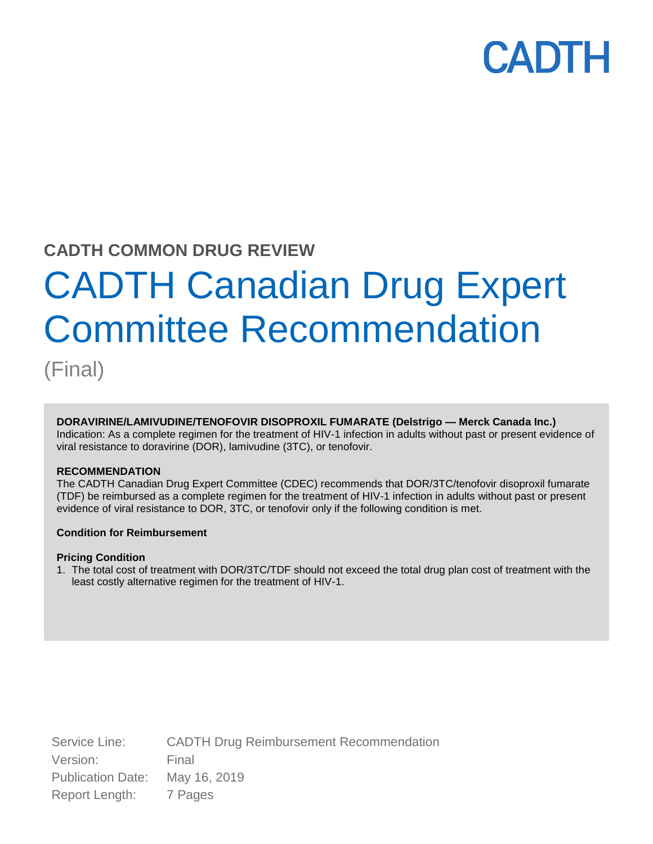### **CADTH COMMON DRUG REVIEW**

# CADTH Canadian Drug Expert Committee Recommendation

(Final)

#### **DORAVIRINE/LAMIVUDINE/TENOFOVIR DISOPROXIL FUMARATE (Delstrigo — Merck Canada Inc.)**

Indication: As a complete regimen for the treatment of HIV-1 infection in adults without past or present evidence of viral resistance to doravirine (DOR), lamivudine (3TC), or tenofovir.

#### **RECOMMENDATION**

The CADTH Canadian Drug Expert Committee (CDEC) recommends that DOR/3TC/tenofovir disoproxil fumarate (TDF) be reimbursed as a complete regimen for the treatment of HIV-1 infection in adults without past or present evidence of viral resistance to DOR, 3TC, or tenofovir only if the following condition is met.

#### **Condition for Reimbursement**

#### **Pricing Condition**

1. The total cost of treatment with DOR/3TC/TDF should not exceed the total drug plan cost of treatment with the least costly alternative regimen for the treatment of HIV-1.

Service Line: CADTH Drug Reimbursement Recommendation Version: Final Publication Date: May 16, 2019 Report Length: 7 Pages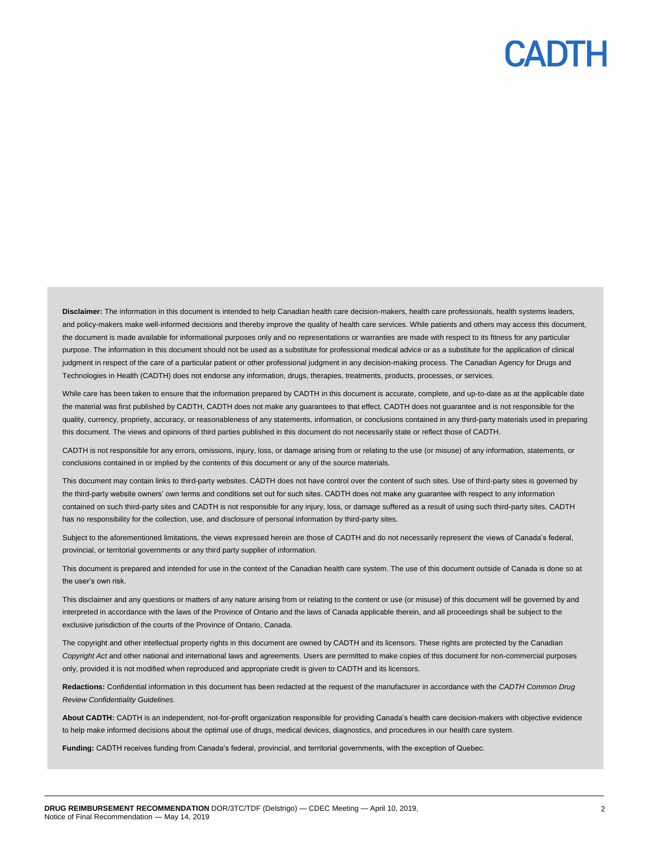**Disclaimer:** The information in this document is intended to help Canadian health care decision-makers, health care professionals, health systems leaders, and policy-makers make well-informed decisions and thereby improve the quality of health care services. While patients and others may access this document, the document is made available for informational purposes only and no representations or warranties are made with respect to its fitness for any particular purpose. The information in this document should not be used as a substitute for professional medical advice or as a substitute for the application of clinical judgment in respect of the care of a particular patient or other professional judgment in any decision-making process. The Canadian Agency for Drugs and Technologies in Health (CADTH) does not endorse any information, drugs, therapies, treatments, products, processes, or services.

While care has been taken to ensure that the information prepared by CADTH in this document is accurate, complete, and up-to-date as at the applicable date the material was first published by CADTH, CADTH does not make any guarantees to that effect. CADTH does not guarantee and is not responsible for the quality, currency, propriety, accuracy, or reasonableness of any statements, information, or conclusions contained in any third-party materials used in preparing this document. The views and opinions of third parties published in this document do not necessarily state or reflect those of CADTH.

CADTH is not responsible for any errors, omissions, injury, loss, or damage arising from or relating to the use (or misuse) of any information, statements, or conclusions contained in or implied by the contents of this document or any of the source materials.

This document may contain links to third-party websites. CADTH does not have control over the content of such sites. Use of third-party sites is governed by the third-party website owners' own terms and conditions set out for such sites. CADTH does not make any guarantee with respect to any information contained on such third-party sites and CADTH is not responsible for any injury, loss, or damage suffered as a result of using such third-party sites. CADTH has no responsibility for the collection, use, and disclosure of personal information by third-party sites.

Subject to the aforementioned limitations, the views expressed herein are those of CADTH and do not necessarily represent the views of Canada's federal, provincial, or territorial governments or any third party supplier of information.

This document is prepared and intended for use in the context of the Canadian health care system. The use of this document outside of Canada is done so at the user's own risk.

This disclaimer and any questions or matters of any nature arising from or relating to the content or use (or misuse) of this document will be governed by and interpreted in accordance with the laws of the Province of Ontario and the laws of Canada applicable therein, and all proceedings shall be subject to the exclusive jurisdiction of the courts of the Province of Ontario, Canada.

The copyright and other intellectual property rights in this document are owned by CADTH and its licensors. These rights are protected by the Canadian *Copyright Act* and other national and international laws and agreements. Users are permitted to make copies of this document for non-commercial purposes only, provided it is not modified when reproduced and appropriate credit is given to CADTH and its licensors.

**Redactions:** Confidential information in this document has been redacted at the request of the manufacturer in accordance with the *CADTH Common Drug Review Confidentiality Guidelines.*

**About CADTH:** CADTH is an independent, not-for-profit organization responsible for providing Canada's health care decision-makers with objective evidence to help make informed decisions about the optimal use of drugs, medical devices, diagnostics, and procedures in our health care system.

**Funding:** CADTH receives funding from Canada's federal, provincial, and territorial governments, with the exception of Quebec.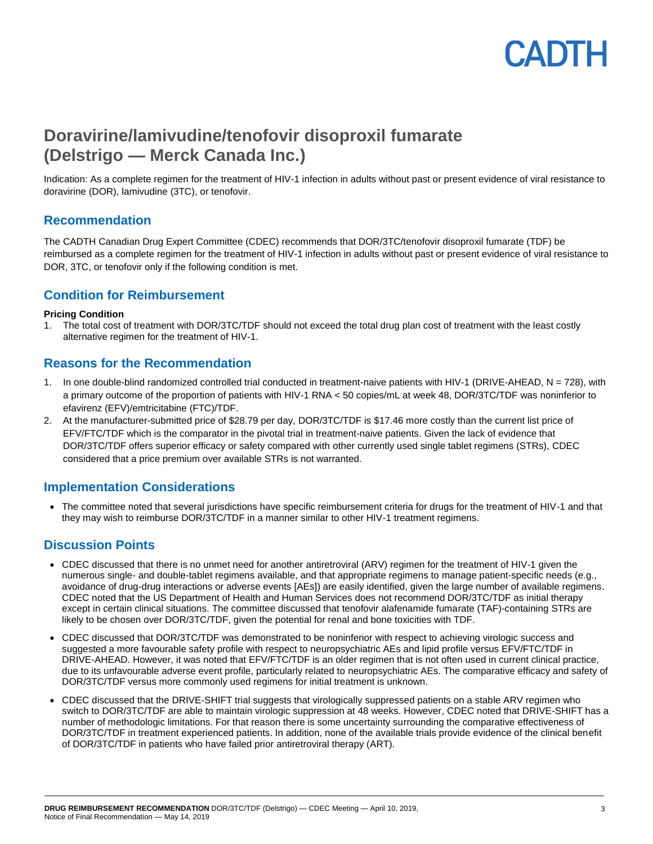### **Doravirine/lamivudine/tenofovir disoproxil fumarate (Delstrigo — Merck Canada Inc.)**

Indication: As a complete regimen for the treatment of HIV-1 infection in adults without past or present evidence of viral resistance to doravirine (DOR), lamivudine (3TC), or tenofovir.

#### **Recommendation**

The CADTH Canadian Drug Expert Committee (CDEC) recommends that DOR/3TC/tenofovir disoproxil fumarate (TDF) be reimbursed as a complete regimen for the treatment of HIV-1 infection in adults without past or present evidence of viral resistance to DOR, 3TC, or tenofovir only if the following condition is met.

#### **Condition for Reimbursement**

#### **Pricing Condition**

1. The total cost of treatment with DOR/3TC/TDF should not exceed the total drug plan cost of treatment with the least costly alternative regimen for the treatment of HIV-1.

#### **Reasons for the Recommendation**

- 1. In one double-blind randomized controlled trial conducted in treatment-naive patients with HIV-1 (DRIVE-AHEAD, N = 728), with a primary outcome of the proportion of patients with HIV-1 RNA < 50 copies/mL at week 48, DOR/3TC/TDF was noninferior to efavirenz (EFV)/emtricitabine (FTC)/TDF.
- 2. At the manufacturer-submitted price of \$28.79 per day, DOR/3TC/TDF is \$17.46 more costly than the current list price of EFV/FTC/TDF which is the comparator in the pivotal trial in treatment-naive patients. Given the lack of evidence that DOR/3TC/TDF offers superior efficacy or safety compared with other currently used single tablet regimens (STRs), CDEC considered that a price premium over available STRs is not warranted.

#### **Implementation Considerations**

 The committee noted that several jurisdictions have specific reimbursement criteria for drugs for the treatment of HIV-1 and that they may wish to reimburse DOR/3TC/TDF in a manner similar to other HIV-1 treatment regimens.

#### **Discussion Points**

- CDEC discussed that there is no unmet need for another antiretroviral (ARV) regimen for the treatment of HIV-1 given the numerous single- and double-tablet regimens available, and that appropriate regimens to manage patient-specific needs (e.g., avoidance of drug-drug interactions or adverse events [AEs]) are easily identified, given the large number of available regimens. CDEC noted that the US Department of Health and Human Services does not recommend DOR/3TC/TDF as initial therapy except in certain clinical situations. The committee discussed that tenofovir alafenamide fumarate (TAF)-containing STRs are likely to be chosen over DOR/3TC/TDF, given the potential for renal and bone toxicities with TDF.
- CDEC discussed that DOR/3TC/TDF was demonstrated to be noninferior with respect to achieving virologic success and suggested a more favourable safety profile with respect to neuropsychiatric AEs and lipid profile versus EFV/FTC/TDF in DRIVE-AHEAD. However, it was noted that EFV/FTC/TDF is an older regimen that is not often used in current clinical practice, due to its unfavourable adverse event profile, particularly related to neuropsychiatric AEs. The comparative efficacy and safety of DOR/3TC/TDF versus more commonly used regimens for initial treatment is unknown.
- CDEC discussed that the DRIVE-SHIFT trial suggests that virologically suppressed patients on a stable ARV regimen who switch to DOR/3TC/TDF are able to maintain virologic suppression at 48 weeks. However, CDEC noted that DRIVE-SHIFT has a number of methodologic limitations. For that reason there is some uncertainty surrounding the comparative effectiveness of DOR/3TC/TDF in treatment experienced patients. In addition, none of the available trials provide evidence of the clinical benefit of DOR/3TC/TDF in patients who have failed prior antiretroviral therapy (ART).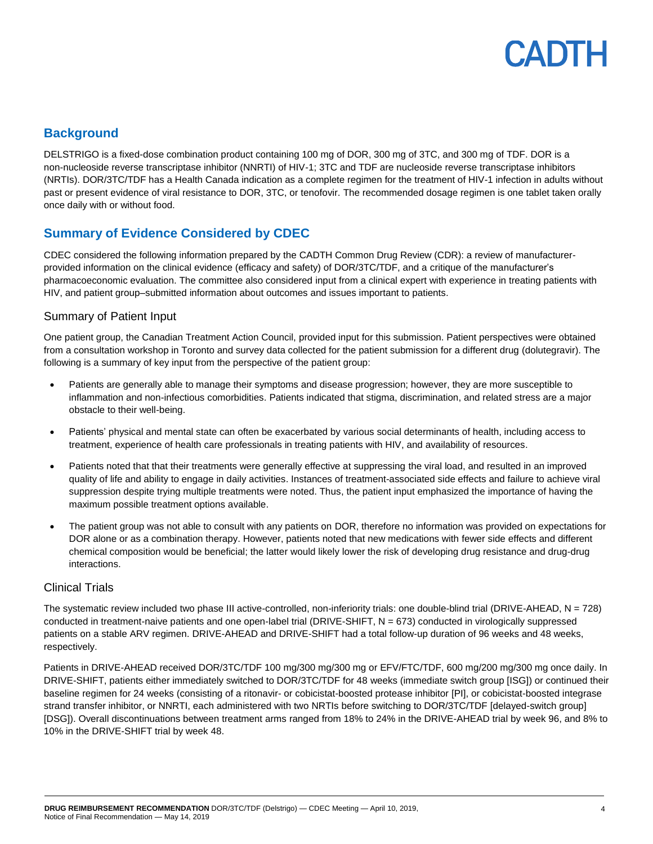

#### **Background**

DELSTRIGO is a fixed-dose combination product containing 100 mg of DOR, 300 mg of 3TC, and 300 mg of TDF. DOR is a non-nucleoside reverse transcriptase inhibitor (NNRTI) of HIV-1; 3TC and TDF are nucleoside reverse transcriptase inhibitors (NRTIs). DOR/3TC/TDF has a Health Canada indication as a complete regimen for the treatment of HIV-1 infection in adults without past or present evidence of viral resistance to DOR, 3TC, or tenofovir. The recommended dosage regimen is one tablet taken orally once daily with or without food.

#### **Summary of Evidence Considered by CDEC**

CDEC considered the following information prepared by the CADTH Common Drug Review (CDR): a review of manufacturerprovided information on the clinical evidence (efficacy and safety) of DOR/3TC/TDF, and a critique of the manufacturer's pharmacoeconomic evaluation. The committee also considered input from a clinical expert with experience in treating patients with HIV, and patient group–submitted information about outcomes and issues important to patients.

#### Summary of Patient Input

One patient group, the Canadian Treatment Action Council, provided input for this submission. Patient perspectives were obtained from a consultation workshop in Toronto and survey data collected for the patient submission for a different drug (dolutegravir). The following is a summary of key input from the perspective of the patient group:

- Patients are generally able to manage their symptoms and disease progression; however, they are more susceptible to inflammation and non-infectious comorbidities. Patients indicated that stigma, discrimination, and related stress are a major obstacle to their well-being.
- Patients' physical and mental state can often be exacerbated by various social determinants of health, including access to treatment, experience of health care professionals in treating patients with HIV, and availability of resources.
- Patients noted that that their treatments were generally effective at suppressing the viral load, and resulted in an improved quality of life and ability to engage in daily activities. Instances of treatment-associated side effects and failure to achieve viral suppression despite trying multiple treatments were noted. Thus, the patient input emphasized the importance of having the maximum possible treatment options available.
- The patient group was not able to consult with any patients on DOR, therefore no information was provided on expectations for DOR alone or as a combination therapy. However, patients noted that new medications with fewer side effects and different chemical composition would be beneficial; the latter would likely lower the risk of developing drug resistance and drug-drug interactions.

#### Clinical Trials

The systematic review included two phase III active-controlled, non-inferiority trials: one double-blind trial (DRIVE-AHEAD, N = 728) conducted in treatment-naive patients and one open-label trial (DRIVE-SHIFT, N = 673) conducted in virologically suppressed patients on a stable ARV regimen. DRIVE-AHEAD and DRIVE-SHIFT had a total follow-up duration of 96 weeks and 48 weeks, respectively.

Patients in DRIVE-AHEAD received DOR/3TC/TDF 100 mg/300 mg/300 mg or EFV/FTC/TDF, 600 mg/200 mg/300 mg once daily. In DRIVE-SHIFT, patients either immediately switched to DOR/3TC/TDF for 48 weeks (immediate switch group [ISG]) or continued their baseline regimen for 24 weeks (consisting of a ritonavir- or cobicistat-boosted protease inhibitor [PI], or cobicistat-boosted integrase strand transfer inhibitor, or NNRTI, each administered with two NRTIs before switching to DOR/3TC/TDF [delayed-switch group] [DSG]). Overall discontinuations between treatment arms ranged from 18% to 24% in the DRIVE-AHEAD trial by week 96, and 8% to 10% in the DRIVE-SHIFT trial by week 48.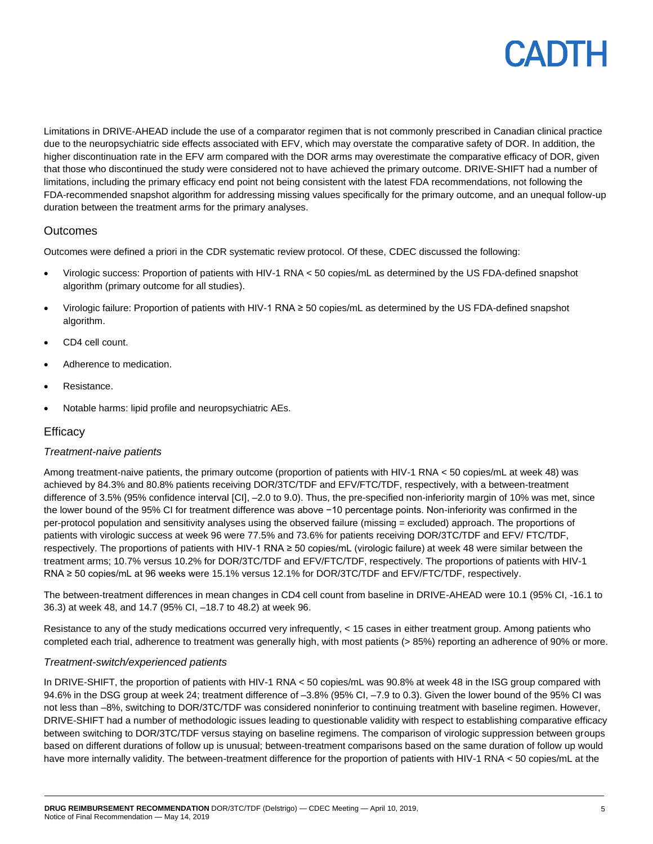Limitations in DRIVE-AHEAD include the use of a comparator regimen that is not commonly prescribed in Canadian clinical practice due to the neuropsychiatric side effects associated with EFV, which may overstate the comparative safety of DOR. In addition, the higher discontinuation rate in the EFV arm compared with the DOR arms may overestimate the comparative efficacy of DOR, given that those who discontinued the study were considered not to have achieved the primary outcome. DRIVE-SHIFT had a number of limitations, including the primary efficacy end point not being consistent with the latest FDA recommendations, not following the FDA-recommended snapshot algorithm for addressing missing values specifically for the primary outcome, and an unequal follow-up duration between the treatment arms for the primary analyses.

#### **Outcomes**

Outcomes were defined a priori in the CDR systematic review protocol. Of these, CDEC discussed the following:

- Virologic success: Proportion of patients with HIV-1 RNA < 50 copies/mL as determined by the US FDA-defined snapshot algorithm (primary outcome for all studies).
- Virologic failure: Proportion of patients with HIV-1 RNA ≥ 50 copies/mL as determined by the US FDA-defined snapshot algorithm.
- CD4 cell count.
- Adherence to medication.
- Resistance.
- Notable harms: lipid profile and neuropsychiatric AEs.

#### **Efficacy**

#### *Treatment-naive patients*

Among treatment-naive patients, the primary outcome (proportion of patients with HIV-1 RNA < 50 copies/mL at week 48) was achieved by 84.3% and 80.8% patients receiving DOR/3TC/TDF and EFV/FTC/TDF, respectively, with a between-treatment difference of 3.5% (95% confidence interval [CI], -2.0 to 9.0). Thus, the pre-specified non-inferiority margin of 10% was met, since the lower bound of the 95% CI for treatment difference was above −10 percentage points. Non-inferiority was confirmed in the per-protocol population and sensitivity analyses using the observed failure (missing = excluded) approach. The proportions of patients with virologic success at week 96 were 77.5% and 73.6% for patients receiving DOR/3TC/TDF and EFV/ FTC/TDF, respectively. The proportions of patients with HIV-1 RNA ≥ 50 copies/mL (virologic failure) at week 48 were similar between the treatment arms; 10.7% versus 10.2% for DOR/3TC/TDF and EFV/FTC/TDF, respectively. The proportions of patients with HIV-1 RNA ≥ 50 copies/mL at 96 weeks were 15.1% versus 12.1% for DOR/3TC/TDF and EFV/FTC/TDF, respectively.

The between-treatment differences in mean changes in CD4 cell count from baseline in DRIVE-AHEAD were 10.1 (95% CI, -16.1 to 36.3) at week 48, and 14.7 (95% CI, –18.7 to 48.2) at week 96.

Resistance to any of the study medications occurred very infrequently, < 15 cases in either treatment group. Among patients who completed each trial, adherence to treatment was generally high, with most patients (> 85%) reporting an adherence of 90% or more.

#### *Treatment-switch/experienced patients*

In DRIVE-SHIFT, the proportion of patients with HIV-1 RNA < 50 copies/mL was 90.8% at week 48 in the ISG group compared with 94.6% in the DSG group at week 24; treatment difference of –3.8% (95% CI, –7.9 to 0.3). Given the lower bound of the 95% CI was not less than –8%, switching to DOR/3TC/TDF was considered noninferior to continuing treatment with baseline regimen. However, DRIVE-SHIFT had a number of methodologic issues leading to questionable validity with respect to establishing comparative efficacy between switching to DOR/3TC/TDF versus staying on baseline regimens. The comparison of virologic suppression between groups based on different durations of follow up is unusual; between-treatment comparisons based on the same duration of follow up would have more internally validity. The between-treatment difference for the proportion of patients with HIV-1 RNA < 50 copies/mL at the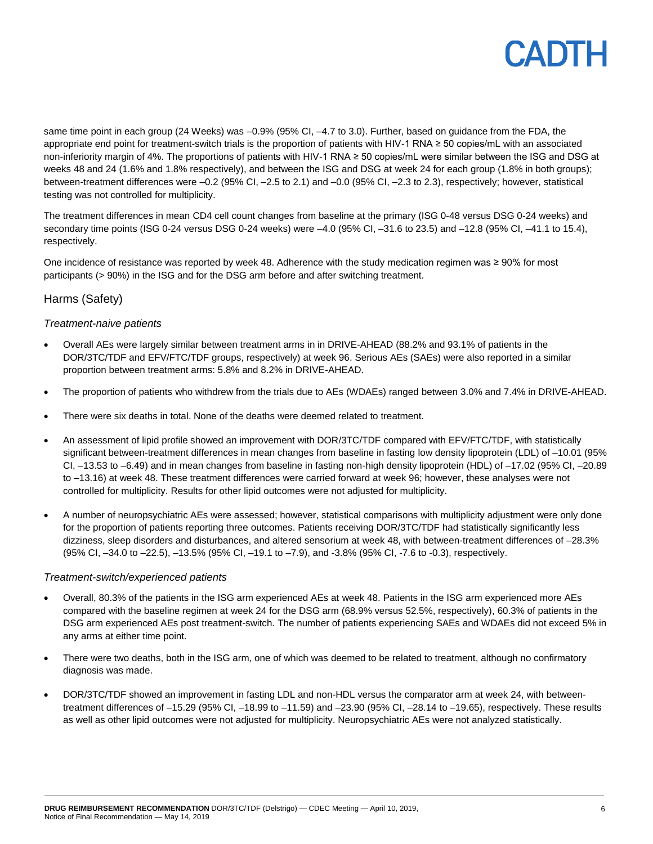### CADIH

same time point in each group (24 Weeks) was -0.9% (95% CI, -4.7 to 3.0). Further, based on guidance from the FDA, the appropriate end point for treatment-switch trials is the proportion of patients with HIV-1 RNA ≥ 50 copies/mL with an associated non-inferiority margin of 4%. The proportions of patients with HIV-1 RNA ≥ 50 copies/mL were similar between the ISG and DSG at weeks 48 and 24 (1.6% and 1.8% respectively), and between the ISG and DSG at week 24 for each group (1.8% in both groups); between-treatment differences were –0.2 (95% CI, –2.5 to 2.1) and –0.0 (95% CI, –2.3 to 2.3), respectively; however, statistical testing was not controlled for multiplicity.

The treatment differences in mean CD4 cell count changes from baseline at the primary (ISG 0-48 versus DSG 0-24 weeks) and secondary time points (ISG 0-24 versus DSG 0-24 weeks) were –4.0 (95% CI, –31.6 to 23.5) and –12.8 (95% CI, –41.1 to 15.4), respectively.

One incidence of resistance was reported by week 48. Adherence with the study medication regimen was ≥ 90% for most participants (> 90%) in the ISG and for the DSG arm before and after switching treatment.

#### Harms (Safety)

#### *Treatment-naive patients*

- Overall AEs were largely similar between treatment arms in in DRIVE-AHEAD (88.2% and 93.1% of patients in the DOR/3TC/TDF and EFV/FTC/TDF groups, respectively) at week 96. Serious AEs (SAEs) were also reported in a similar proportion between treatment arms: 5.8% and 8.2% in DRIVE-AHEAD.
- The proportion of patients who withdrew from the trials due to AEs (WDAEs) ranged between 3.0% and 7.4% in DRIVE-AHEAD.
- There were six deaths in total. None of the deaths were deemed related to treatment.
- An assessment of lipid profile showed an improvement with DOR/3TC/TDF compared with EFV/FTC/TDF, with statistically significant between-treatment differences in mean changes from baseline in fasting low density lipoprotein (LDL) of -10.01 (95% CI, –13.53 to –6.49) and in mean changes from baseline in fasting non-high density lipoprotein (HDL) of –17.02 (95% CI, –20.89 to –13.16) at week 48. These treatment differences were carried forward at week 96; however, these analyses were not controlled for multiplicity. Results for other lipid outcomes were not adjusted for multiplicity.
- A number of neuropsychiatric AEs were assessed; however, statistical comparisons with multiplicity adjustment were only done for the proportion of patients reporting three outcomes. Patients receiving DOR/3TC/TDF had statistically significantly less dizziness, sleep disorders and disturbances, and altered sensorium at week 48, with between-treatment differences of –28.3% (95% CI, –34.0 to –22.5), –13.5% (95% CI, –19.1 to –7.9), and -3.8% (95% CI, -7.6 to -0.3), respectively.

#### *Treatment-switch/experienced patients*

- Overall, 80.3% of the patients in the ISG arm experienced AEs at week 48. Patients in the ISG arm experienced more AEs compared with the baseline regimen at week 24 for the DSG arm (68.9% versus 52.5%, respectively), 60.3% of patients in the DSG arm experienced AEs post treatment-switch. The number of patients experiencing SAEs and WDAEs did not exceed 5% in any arms at either time point.
- There were two deaths, both in the ISG arm, one of which was deemed to be related to treatment, although no confirmatory diagnosis was made.
- DOR/3TC/TDF showed an improvement in fasting LDL and non-HDL versus the comparator arm at week 24, with betweentreatment differences of –15.29 (95% CI, –18.99 to –11.59) and –23.90 (95% CI, –28.14 to –19.65), respectively. These results as well as other lipid outcomes were not adjusted for multiplicity. Neuropsychiatric AEs were not analyzed statistically.